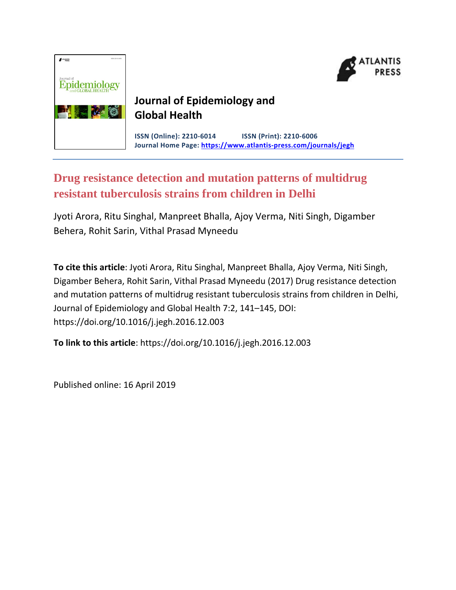



# **Journal of Epidemiology and Global Health**

**ISSN (Online): 2210-6014 ISSN (Print): 2210-6006 Journal Home Page: https://www.atlantis-press.com/journals/jegh**

# **Drug resistance detection and mutation patterns of multidrug resistant tuberculosis strains from children in Delhi**

Jyoti Arora, Ritu Singhal, Manpreet Bhalla, Ajoy Verma, Niti Singh, Digamber Behera, Rohit Sarin, Vithal Prasad Myneedu

**To cite this article**: Jyoti Arora, Ritu Singhal, Manpreet Bhalla, Ajoy Verma, Niti Singh, Digamber Behera, Rohit Sarin, Vithal Prasad Myneedu (2017) Drug resistance detection and mutation patterns of multidrug resistant tuberculosis strains from children in Delhi, Journal of Epidemiology and Global Health 7:2, 141–145, DOI: https://doi.org/10.1016/j.jegh.2016.12.003

**To link to this article**: https://doi.org/10.1016/j.jegh.2016.12.003

Published online: 16 April 2019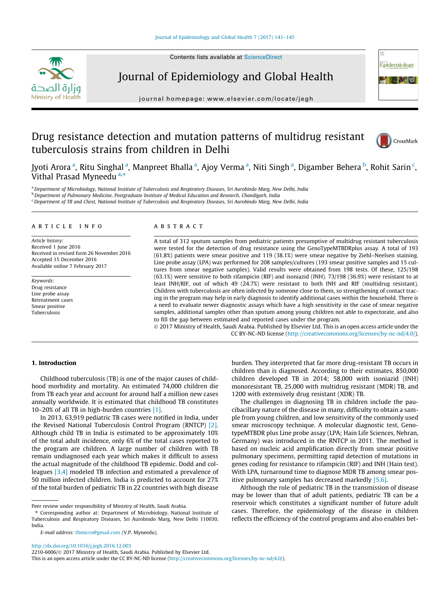



# Journal of Epidemiology and Global Health

journal homepage: where  $\frac{1}{2}$  equations  $\frac{1}{2}$  equations  $\frac{1}{2}$ 

# Drug resistance detection and mutation patterns of multidrug resistant tuberculosis strains from children in Delhi



Jyoti Arora <sup>a</sup>, Ritu Singhal <sup>a</sup>, Manpreet Bhalla <sup>a</sup>, Ajoy Verma <sup>a</sup>, Niti Singh <sup>a</sup>, Digamber Behera <sup>b</sup>, Rohit Sarin <sup>c</sup>, Vithal Prasad Myneedu<sup>a,\*</sup>

a Department of Microbiology, National Institute of Tuberculosis and Respiratory Diseases, Sri Aurobindo Marg, New Delhi, India **b** Department of Pulmonary Medicine, Postgraduate Institute of Medical Education and Research, Chandigarh, India

<sup>c</sup> Department of TB and Chest, National Institute of Tuberculosis and Respiratory Diseases, Sri Aurobindo Marg, New Delhi, India

## article info

Article history: Received 1 June 2016 Received in revised form 26 November 2016 Accepted 15 December 2016 Available online 7 February 2017

Keywords: Drug resistance Line probe assay Retreatment cases Smear positive Tuberculosis

# A B S T R A C T

A total of 312 sputum samples from pediatric patients presumptive of multidrug resistant tuberculosis were tested for the detection of drug resistance using the GenoTypeMTBDRplus assay. A total of 193 (61.8%) patients were smear positive and 119 (38.1%) were smear negative by Ziehl–Neelsen staining. Line probe assay (LPA) was performed for 208 samples/cultures (193 smear positive samples and 15 cultures from smear negative samples). Valid results were obtained from 198 tests. Of these, 125/198 (63.1%) were sensitive to both rifampicin (RIF) and isoniazid (INH). 73/198 (36.9%) were resistant to at least INH/RIF, out of which 49 (24.7%) were resistant to both INH and RIF (multidrug resistant). Children with tuberculosis are often infected by someone close to them, so strengthening of contact tracing in the program may help in early diagnosis to identify additional cases within the household. There is a need to evaluate newer diagnostic assays which have a high sensitivity in the case of smear negative samples, additional samples other than sputum among young children not able to expectorate, and also to fill the gap between estimated and reported cases under the program.

 2017 Ministry of Health, Saudi Arabia. Published by Elsevier Ltd. This is an open access article under the CC BY-NC-ND license (<http://creativecommons.org/licenses/by-nc-nd/4.0/>).

#### 1. Introduction

Childhood tuberculosis (TB) is one of the major causes of childhood morbidity and mortality. An estimated 74,000 children die from TB each year and account for around half a million new cases annually worldwide. It is estimated that childhood TB constitutes 10–20% of all TB in high-burden countries [\[1\]](#page-4-0).

In 2013, 63,919 pediatric TB cases were notified in India, under the Revised National Tuberculosis Control Program (RNTCP) [\[2\].](#page-4-0) Although child TB in India is estimated to be approximately 10% of the total adult incidence, only 6% of the total cases reported to the program are children. A large number of children with TB remain undiagnosed each year which makes it difficult to assess the actual magnitude of the childhood TB epidemic. Dodd and colleagues [\[3,4\]](#page-4-0) modeled TB infection and estimated a prevalence of 50 million infected children. India is predicted to account for 27% of the total burden of pediatric TB in 22 countries with high disease

burden. They interpreted that far more drug-resistant TB occurs in children than is diagnosed. According to their estimates, 850,000 children developed TB in 2014; 58,000 with isoniazid (INH) monoresistant TB, 25,000 with multidrug resistant (MDR) TB, and 1200 with extensively drug resistant (XDR) TB.

The challenges in diagnosing TB in children include the paucibacillary nature of the disease in many, difficulty to obtain a sample from young children, and low sensitivity of the commonly used smear microscopy technique. A molecular diagnostic test, GenotypeMTBDR plus Line probe assay (LPA; Hain Life Sciences, Nehran, Germany) was introduced in the RNTCP in 2011. The method is based on nucleic acid amplification directly from smear positive pulmonary specimens, permitting rapid detection of mutations in genes coding for resistance to rifampicin (RIF) and INH (Hain test). With LPA, turnaround time to diagnose MDR TB among smear positive pulmonary samples has decreased markedly [\[5,6\].](#page-4-0)

Although the role of pediatric TB in the transmission of disease may be lower than that of adult patients, pediatric TB can be a reservoir which constitutes a significant number of future adult cases. Therefore, the epidemiology of the disease in children reflects the efficiency of the control programs and also enables bet-

Peer review under responsibility of Ministry of Health, Saudi Arabia.

<sup>⇑</sup> Corresponding author at: Department of Microbiology, National Institute of Tuberculosis and Respiratory Diseases, Sri Aurobindo Marg, New Delhi 110030, India.

E-mail address: [tbmicro@gmail.com](mailto:tbmicro@gmail.com) (V.P. Myneedu).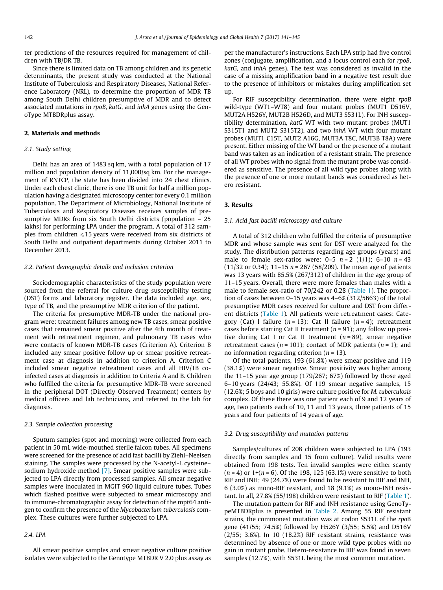ter predictions of the resources required for management of children with TB/DR TB.

Since there is limited data on TB among children and its genetic determinants, the present study was conducted at the National Institute of Tuberculosis and Respiratory Diseases, National Reference Laboratory (NRL), to determine the proportion of MDR TB among South Delhi children presumptive of MDR and to detect associated mutations in rpoB, katG, and inhA genes using the GenoType MTBDRplus assay.

#### 2. Materials and methods

### 2.1. Study setting

Delhi has an area of 1483 sq km, with a total population of 17 million and population density of 11,000/sq km. For the management of RNTCP, the state has been divided into 24 chest clinics. Under each chest clinic, there is one TB unit for half a million population having a designated microscopy center for every 0.1 million population. The Department of Microbiology, National Institute of Tuberculosis and Respiratory Diseases receives samples of presumptive MDRs from six South Delhi districts (population – 25 lakhs) for performing LPA under the program. A total of 312 samples from children  $\leq 15$  years were received from six districts of South Delhi and outpatient departments during October 2011 to December 2013.

#### 2.2. Patient demographic details and inclusion criterion

Sociodemographic characteristics of the study population were sourced from the referral for culture drug susceptibility testing (DST) forms and laboratory register. The data included age, sex, type of TB, and the presumptive MDR criterion of the patient.

The criteria for presumptive MDR-TB under the national program were: treatment failures among new TB cases, smear positive cases that remained smear positive after the 4th month of treatment with retreatment regimen, and pulmonary TB cases who were contacts of known MDR-TB cases (Criterion A). Criterion B included any smear positive follow up or smear positive retreatment case at diagnosis in addition to criterion A. Criterion C included smear negative retreatment cases and all HIV/TB coinfected cases at diagnosis in addition to Criteria A and B. Children who fulfilled the criteria for presumptive MDR-TB were screened in the peripheral DOT (Directly Observed Treatment) centers by medical officers and lab technicians, and referred to the lab for diagnosis.

#### 2.3. Sample collection processing

Sputum samples (spot and morning) were collected from each patient in 50 mL wide-mouthed sterile falcon tubes. All specimens were screened for the presence of acid fast bacilli by Ziehl–Neelsen staining. The samples were processed by the N-acetyl-L cysteine– sodium hydroxide method [\[7\].](#page-4-0) Smear positive samples were subjected to LPA directly from processed samples. All smear negative samples were inoculated in MGIT 960 liquid culture tubes. Tubes which flashed positive were subjected to smear microscopy and to immune-chromatographic assay for detection of the mpt64 antigen to confirm the presence of the Mycobacterium tuberculosis complex. These cultures were further subjected to LPA.

## 2.4. LPA

All smear positive samples and smear negative culture positive isolates were subjected to the Genotype MTBDR V 2.0 plus assay as

per the manufacturer's instructions. Each LPA strip had five control zones (conjugate, amplification, and a locus control each for rpoB, katG, and inhA genes). The test was considered as invalid in the case of a missing amplification band in a negative test result due to the presence of inhibitors or mistakes during amplification set up.

For RIF susceptibility determination, there were eight rpoB wild-type (WT1–WT8) and four mutant probes (MUT1 D516V, MUT2A H526Y, MUT2B H526D, and MUT3 S531L). For INH susceptibility determination, katG WT with two mutant probes (MUT1 S315T1 and MUT2 S315T2), and two inhA WT with four mutant probes (MUT1 C15T, MUT2 A16G, MUT3A T8C, MUT3B T8A) were present. Either missing of the WT band or the presence of a mutant band was taken as an indication of a resistant strain. The presence of all WT probes with no signal from the mutant probe was considered as sensitive. The presence of all wild type probes along with the presence of one or more mutant bands was considered as hetero resistant.

#### 3. Results

#### 3.1. Acid fast bacilli microscopy and culture

A total of 312 children who fulfilled the criteria of presumptive MDR and whose sample was sent for DST were analyzed for the study. The distribution patterns regarding age groups (years) and male to female sex-ratios were:  $0-5$   $n = 2$  (1/1); 6-10  $n = 43$ (11/32 or 0.34); 11-15  $n = 267$  (58/209). The mean age of patients was 13 years with 85.5% (267/312) of children in the age group of 11–15 years. Overall, there were more females than males with a male to female sex-ratio of 70/242 or 0.28 [\(Table 1](#page-3-0)). The proportion of cases between 0–15 years was 4–6% (312/5663) of the total presumptive MDR cases received for culture and DST from different districts ([Table 1\)](#page-3-0). All patients were retreatment cases: Category (Cat) I failure  $(n = 13)$ ; Cat II failure  $(n = 4)$ ; retreatment cases before starting Cat II treatment ( $n = 91$ ); any follow up positive during Cat I or Cat II treatment  $(n = 89)$ , smear negative retreatment cases ( $n = 101$ ); contact of MDR patients ( $n = 1$ ); and no information regarding criterion ( $n = 13$ ).

Of the total patients, 193 (61.8%) were smear positive and 119 (38.1%) were smear negative. Smear positivity was higher among the 11–15 year age group (179/267; 67%) followed by those aged 6–10 years (24/43; 55.8%). Of 119 smear negative samples, 15 (12.6%; 5 boys and 10 girls) were culture positive for M. tuberculosis complex. Of these there was one patient each of 9 and 12 years of age, two patients each of 10, 11 and 13 years, three patients of 15 years and four patients of 14 years of age.

#### 3.2. Drug susceptibility and mutation patterns

Samples/cultures of 208 children were subjected to LPA (193 directly from samples and 15 from culture). Valid results were obtained from 198 tests. Ten invalid samples were either scanty  $(n = 4)$  or  $1+(n = 6)$ . Of the 198, 125 (63.1%) were sensitive to both RIF and INH; 49 (24.7%) were found to be resistant to RIF and INH, 6 (3.0%) as mono-RIF resistant, and 18 (9.1%) as mono-INH resistant. In all, 27.8% (55/198) children were resistant to RIF [\(Table 1\)](#page-3-0).

The mutation pattern for RIF and INH resistance using GenoTypeMTBDRplus is presented in [Table 2.](#page-3-0) Among 55 RIF resistant strains, the commonest mutation was at codon S531L of the rpoB gene (41/55; 74.5%) followed by H526Y (3/55; 5.5%) and D516V (2/55; 3.6%). In 10 (18.2%) RIF resistant strains, resistance was determined by absence of one or more wild type probes with no gain in mutant probe. Hetero-resistance to RIF was found in seven samples (12.7%), with S531L being the most common mutation.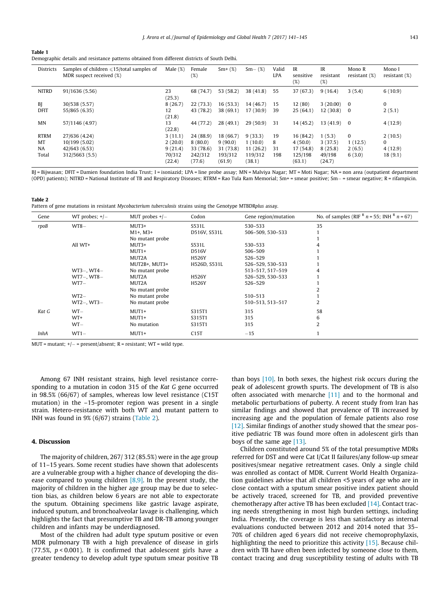<span id="page-3-0"></span>

| Table 1                                                                                       |  |  |
|-----------------------------------------------------------------------------------------------|--|--|
| Demographic details and resistance patterns obtained from different districts of South Delhi. |  |  |

| <b>Districts</b> | Samples of children $\leq 15$ /total samples of<br>MDR suspect received (%) | Male $(\%)$      | Female<br>(%)     | $Sm+(%)$          | $Sm-$ (%)         | Valid<br><b>LPA</b> | IR<br>sensitive<br>(%) | IR<br>resistant<br>(%) | Mono R<br>resistant $(\%)$ | Mono I<br>resistant $(\%)$ |
|------------------|-----------------------------------------------------------------------------|------------------|-------------------|-------------------|-------------------|---------------------|------------------------|------------------------|----------------------------|----------------------------|
| <b>NITRD</b>     | 91/1636 (5.56)                                                              | 23<br>(25.3)     | 68 (74.7)         | 53 (58.2)         | 38(41.8)          | 55                  | 37 (67.3)              | 9(16.4)                | 3(5.4)                     | 6(10.9)                    |
| BJ               | 30/538 (5.57)                                                               | 8(26.7)          | 22(73.3)          | 16(53.3)          | 14 (46.7)         | 15                  | 12(80)                 | 3(20.00)               | $\bf{0}$                   | $\bf{0}$                   |
| <b>DFIT</b>      | 55/865 (6.35)                                                               | 12<br>(21.8)     | 43 (78.2)         | 38 (69.1)         | 17(30.9)          | 39                  | 25(64.1)               | 12(30.8)               | - 0                        | 2(5.1)                     |
| MN               | 57/1146 (4.97)                                                              | 13<br>(22.8)     | 44 (77.2)         | 28(49.1)          | 29(50.9)          | 31                  | 14(45.2)               | 13(41.9)               | $\bf{0}$                   | 4(12.9)                    |
| <b>RTRM</b>      | 27/636 (4.24)                                                               | 3(11.1)          | 24(88.9)          | 18 (66.7)         | 9(33.3)           | 19                  | 16(84.2)               | 1(5.3)                 | $\bf{0}$                   | 2(10.5)                    |
| MT               | 10/199 (5.02)                                                               | 2(20.0)          | 8(80.0)           | 9(90.0)           | 1(10.0)           | 8                   | 4(50.0)                | 3(37.5)                | 1(12.5)                    | $\bf{0}$                   |
| <b>NA</b>        | 42/643 (6.53)                                                               | 9(21.4)          | 33 (78.6)         | 31 (73.8)         | 11 (26.2)         | 31                  | 17 (54.8)              | 8(25.8)                | 2(6.5)                     | 4(12.9)                    |
| Total            | 312/5663 (5.5)                                                              | 70/312<br>(22.4) | 242/312<br>(77.6) | 193/312<br>(61.9) | 119/312<br>(38.1) | 198                 | 125/198<br>(63.1)      | 49/198<br>(24.7)       | 6(3.0)                     | 18(9.1)                    |

BJ = Bijwasan; DFIT = Damien foundation India Trust; I = isoniazid; LPA = line probe assay; MN = Malviya Nagar; MT = Moti Nagar; NA = non area (outpatient department (OPD) patients); NITRD = National Institute of TB and Respiratory Diseases; RTRM = Rao Tula Ram Memorial; Sm+ = smear positive; Sm- = smear negative; R = rifampicin.

Table 2 Pattern of gene mutations in resistant Mycobacterium tuberculosis strains using the Genotype MTBDRplus assay.

| Gene        | WT probes; $+/-$  | MUT probes $+/-$ | Codon        | Gene region/mutation | No. of samples (RIF $R$ n = 55; INH $R$ n = 67) |
|-------------|-------------------|------------------|--------------|----------------------|-------------------------------------------------|
| rpoB        | $WT8-$            | $MUT3+$          | S531L        | 530-533              | 35                                              |
|             |                   | $M1+, M3+$       | D516V, S531L | 506-509, 530-533     |                                                 |
|             |                   | No mutant probe  |              |                      |                                                 |
|             | All WT+           | $MUT3+$          | S531L        | 530-533              | 4                                               |
|             |                   | $MUT1+$          | D516V        | 506-509              |                                                 |
|             |                   | MUT2A            | H526Y        | 526-529              |                                                 |
|             |                   | MUT2B+, MUT3+    | H526D, S531L | 526-529, 530-533     |                                                 |
|             | $WT3 -$ , $WT4 -$ | No mutant probe  |              | 513-517, 517-519     | 4                                               |
|             | WT7-, WT8-        | MUT2A            | <b>H526Y</b> | 526-529, 530-533     |                                                 |
|             | $WT7-$            | MUT2A            | <b>H526Y</b> | 526-529              |                                                 |
|             |                   | No mutant probe  |              |                      |                                                 |
|             | $WT2-$            | No mutant probe  |              | 510-513              |                                                 |
|             | $WT2-, WT3-$      | No mutant probe  |              | 510-513, 513-517     | $\overline{2}$                                  |
| Kat G       | $WT -$            | $MUT1+$          | S315T1       | 315                  | 58                                              |
|             | WT+               | $MUT1+$          | S315T1       | 315                  | 6                                               |
|             | $WT -$            | No mutation      | S315T1       | 315                  | $\overline{2}$                                  |
| <b>InhA</b> | $WT1 -$           | $MUT1+$          | C15T         | $-15$                |                                                 |

MUT = mutant;  $+/-$  = present/absent; R = resistant; WT = wild type.

Among 67 INH resistant strains, high level resistance corresponding to a mutation in codon 315 of the Kat G gene occurred in 98.5% (66/67) of samples, whereas low level resistance (C15T mutation) in the –15-promoter region was present in a single strain. Hetero-resistance with both WT and mutant pattern to INH was found in 9% (6/67) strains (Table 2).

#### 4. Discussion

The majority of children, 267/ 312 (85.5%) were in the age group of 11–15 years. Some recent studies have shown that adolescents are a vulnerable group with a higher chance of developing the disease compared to young children  $[8,9]$ . In the present study, the majority of children in the higher age group may be due to selection bias, as children below 6 years are not able to expectorate the sputum. Obtaining specimens like gastric lavage aspirate, induced sputum, and bronchoalveolar lavage is challenging, which highlights the fact that presumptive TB and DR-TB among younger children and infants may be underdiagnosed.

Most of the children had adult type sputum positive or even MDR pulmonary TB with a high prevalence of disease in girls (77.5%,  $p < 0.001$ ). It is confirmed that adolescent girls have a greater tendency to develop adult type sputum smear positive TB than boys [\[10\]](#page-4-0). In both sexes, the highest risk occurs during the peak of adolescent growth spurts. The development of TB is also often associated with menarche [\[11\]](#page-5-0) and to the hormonal and metabolic perturbations of puberty. A recent study from Iran has similar findings and showed that prevalence of TB increased by increasing age and the population of female patients also rose [\[12\]](#page-5-0). Similar findings of another study showed that the smear positive pediatric TB was found more often in adolescent girls than boys of the same age [\[13\]](#page-5-0).

Children constituted around 5% of the total presumptive MDRs referred for DST and were Cat I/Cat II failures/any follow-up smear positives/smear negative retreatment cases. Only a single child was enrolled as contact of MDR. Current World Health Organization guidelines advise that all children <5 years of age who are in close contact with a sputum smear positive index patient should be actively traced, screened for TB, and provided preventive chemotherapy after active TB has been excluded [\[14\]](#page-5-0). Contact tracing needs strengthening in most high burden settings, including India. Presently, the coverage is less than satisfactory as internal evaluations conducted between 2012 and 2014 noted that 35– 70% of children aged 6 years did not receive chemoprophylaxis, highlighting the need to prioritize this activity [\[15\].](#page-5-0) Because children with TB have often been infected by someone close to them, contact tracing and drug susceptibility testing of adults with TB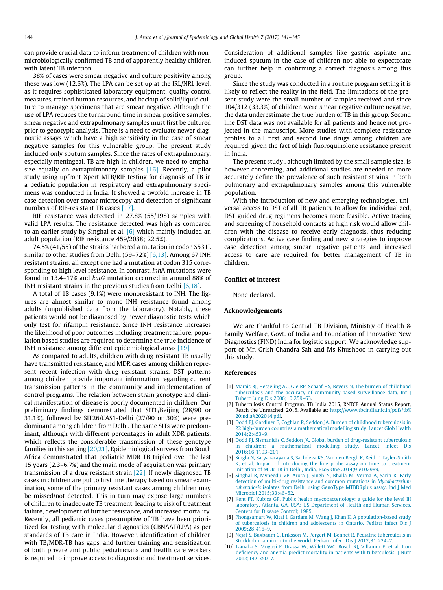<span id="page-4-0"></span>can provide crucial data to inform treatment of children with nonmicrobiologically confirmed TB and of apparently healthy children with latent TB infection.

38% of cases were smear negative and culture positivity among these was low (12.6%). The LPA can be set up at the IRL/NRL level, as it requires sophisticated laboratory equipment, quality control measures, trained human resources, and backup of solid/liquid culture to manage specimens that are smear negative. Although the use of LPA reduces the turnaround time in smear positive samples, smear negative and extrapulmonary samples must first be cultured prior to genotypic analysis. There is a need to evaluate newer diagnostic assays which have a high sensitivity in the case of smear negative samples for this vulnerable group. The present study included only sputum samples. Since the rates of extrapulmonary, especially meningeal, TB are high in children, we need to empha-size equally on extrapulmonary samples [\[16\].](#page-5-0) Recently, a pilot study using upfront Xpert MTB/RIF testing for diagnosis of TB in a pediatric population in respiratory and extrapulmonary specimens was conducted in India. It showed a twofold increase in TB case detection over smear microscopy and detection of significant numbers of RIF-resistant TB cases [\[17\]](#page-5-0).

RIF resistance was detected in 27.8% (55/198) samples with valid LPA results. The resistance detected was high as compared to an earlier study by Singhal et al. [6] which mainly included an adult population (RIF resistance 459/2038; 22.5%).

74.5% (41/55) of the strains harbored a mutation in codon S531L similar to other studies from Delhi (59–72%) [6,13]. Among 67 INH resistant strains, all except one had a mutation at codon 315 corresponding to high level resistance. In contrast, InhA mutations were found in 13.4–17% and katG mutation occurred in around 88% of INH resistant strains in the previous studies from Delhi [6,18].

A total of 18 cases (9.1%) were monoresistant to INH. The figures are almost similar to mono INH resistance found among adults (unpublished data from the laboratory). Notably, these patients would not be diagnosed by newer diagnostic tests which only test for rifampin resistance. Since INH resistance increases the likelihood of poor outcomes including treatment failure, population based studies are required to determine the true incidence of INH resistance among different epidemiological areas [\[19\].](#page-5-0)

As compared to adults, children with drug resistant TB usually have transmitted resistance, and MDR cases among children represent recent infection with drug resistant strains. DST patterns among children provide important information regarding current transmission patterns in the community and implementation of control programs. The relation between strain genotype and clinical manifestation of disease is poorly documented in children. Our preliminary findings demonstrated that SIT1/Beijing (28/90 or 31.1%), followed by SIT26/CAS1-Delhi (27/90 or 30%) were predominant among children from Delhi. The same SITs were predominant, although with different percentages in adult XDR patients, which reflects the considerable transmission of these genotype families in this setting [\[20,21\].](#page-5-0) Epidemiological surveys from South Africa demonstrated that pediatric MDR TB tripled over the last 15 years (2.3–6.7%) and the main mode of acquisition was primary transmission of a drug resistant strain [\[22\]](#page-5-0). If newly diagnosed TB cases in children are put to first line therapy based on smear examination, some of the primary resistant cases among children may be missed/not detected. This in turn may expose large numbers of children to inadequate TB treatment, leading to risk of treatment failure, development of further resistance, and increased mortality. Recently, all pediatric cases presumptive of TB have been prioritized for testing with molecular diagnostics (CBNAAT/LPA) as per standards of TB care in India. However, identification of children with TB/MDR-TB has gaps, and further training and sensitization of both private and public pediatricians and health care workers is required to improve access to diagnostic and treatment services.

Consideration of additional samples like gastric aspirate and induced sputum in the case of children not able to expectorate can further help in confirming a correct diagnosis among this group.

Since the study was conducted in a routine program setting it is likely to reflect the reality in the field. The limitations of the present study were the small number of samples received and since 104/312 (33.3%) of children were smear negative culture negative, the data underestimate the true burden of TB in this group. Second line DST data was not available for all patients and hence not projected in the manuscript. More studies with complete resistance profiles to all first and second line drugs among children are required, given the fact of high fluoroquinolone resistance present in India.

The present study , although limited by the small sample size, is however concerning, and additional studies are needed to more accurately define the prevalence of such resistant strains in both pulmonary and extrapulmonary samples among this vulnerable population.

With the introduction of new and emerging technologies, universal access to DST of all TB patients, to allow for individualized, DST guided drug regimens becomes more feasible. Active tracing and screening of household contacts at high risk would allow children with the disease to receive early diagnosis, thus reducing complications. Active case finding and new strategies to improve case detection among smear negative patients and increased access to care are required for better management of TB in children.

### Conflict of interest

None declared.

#### Acknowledgements

We are thankful to Central TB Division, Ministry of Health & Family Welfare, Govt. of India and Foundation of Innovative New Diagnostics (FIND) India for logistic support. We acknowledge support of Mr. Grish Chandra Sah and Ms Khushboo in carrying out this study.

#### References

- [1] [Marais BJ, Hesseling AC, Gie RP, Schaaf HS, Beyers N. The burden of childhood](http://refhub.elsevier.com/S2210-6006(16)30106-X/h0005) [tuberculosis and the accuracy of community-based surveillance data. Int J](http://refhub.elsevier.com/S2210-6006(16)30106-X/h0005) [Tuberc Lung Dis 2006;10:259–63](http://refhub.elsevier.com/S2210-6006(16)30106-X/h0005).
- [2] Tuberculosis Control Program. TB India 2015, RNTCP Annual Status Report, Reach the Unreached, 2015. Available at: [http://www.tbcindia.nic.in/pdfs/tb%](http://www.tbcindia.nic.in/pdfs/tb%20india%202014.pdf) [20india%202014.pdf.](http://www.tbcindia.nic.in/pdfs/tb%20india%202014.pdf)
- [3] [Dodd PJ, Gardiner E, Coghlan R, Seddon JA. Burden of childhood tuberculosis in](http://refhub.elsevier.com/S2210-6006(16)30106-X/h0015) [22 high-burden countries:a mathematical modelling study. Lancet Glob Health](http://refhub.elsevier.com/S2210-6006(16)30106-X/h0015) [2014;2:453–9](http://refhub.elsevier.com/S2210-6006(16)30106-X/h0015).
- [4] [Dodd PJ, Sismanidis C, Seddon JA. Global burden of drug-resistant tuberculosis](http://refhub.elsevier.com/S2210-6006(16)30106-X/h0020) [in children: a mathematical modelling study. Lancet Infect Dis](http://refhub.elsevier.com/S2210-6006(16)30106-X/h0020) [2016;16:1193–201.](http://refhub.elsevier.com/S2210-6006(16)30106-X/h0020)
- [5] [Singla N, Satyanarayana S, Sachdeva KS, Van den Bergh R, Reid T, Tayler-Smith](http://refhub.elsevier.com/S2210-6006(16)30106-X/h0025) [K, et al. Impact of introducing the line probe assay on time to treatment](http://refhub.elsevier.com/S2210-6006(16)30106-X/h0025) [initiation of MDR-TB in Delhi, India. PLoS One 2014;9:e102989.](http://refhub.elsevier.com/S2210-6006(16)30106-X/h0025)
- [6] [Singhal R, Myneedu VP, Arora J, Singh N, Bhalla M, Verma A, Sarin R. Early](http://refhub.elsevier.com/S2210-6006(16)30106-X/h0030) [detection of multi-drug resistance and common mutations in](http://refhub.elsevier.com/S2210-6006(16)30106-X/h0030) Mycobacterium tuberculosis [isolates from Delhi using GenoType MTBDRplus assay. Ind J Med](http://refhub.elsevier.com/S2210-6006(16)30106-X/h0030) [Microbiol 2015;33:46–52](http://refhub.elsevier.com/S2210-6006(16)30106-X/h0030).
- [7] [Kent PT, Kubica GP. Public health mycobacteriology: a guide for the level III](http://refhub.elsevier.com/S2210-6006(16)30106-X/h0035) [laboratory. Atlanta, GA, USA: US Department of Health and Human Services,](http://refhub.elsevier.com/S2210-6006(16)30106-X/h0035) [Centers for Disease Control; 1985](http://refhub.elsevier.com/S2210-6006(16)30106-X/h0035).
- [8] [Phongsamart W, Kitai I, Gardam M, Wang J, Khan K. A population-based study](http://refhub.elsevier.com/S2210-6006(16)30106-X/h0040) [of tuberculosis in children and adolescents in Ontario. Pediatr Infect Dis J](http://refhub.elsevier.com/S2210-6006(16)30106-X/h0040) [2009;28:416–9](http://refhub.elsevier.com/S2210-6006(16)30106-X/h0040).
- [9] [Nejat S, Buxbaum C, Eriksson M, Pergert M, Bennet R. Pediatric tuberculosis in](http://refhub.elsevier.com/S2210-6006(16)30106-X/h0045) [Stockholm: a mirror to the world. Pediatr Infect Dis J 2012;31:224–7.](http://refhub.elsevier.com/S2210-6006(16)30106-X/h0045)
- [10] [Isanaka S, Mugusi F, Urassa W, Willett WC, Bosch RJ, Villamor E, et al. Iron](http://refhub.elsevier.com/S2210-6006(16)30106-X/h0050) [deficiency and anemia predict mortality in patients with tuberculosis. J Nutr](http://refhub.elsevier.com/S2210-6006(16)30106-X/h0050) [2012;142:350–7.](http://refhub.elsevier.com/S2210-6006(16)30106-X/h0050)